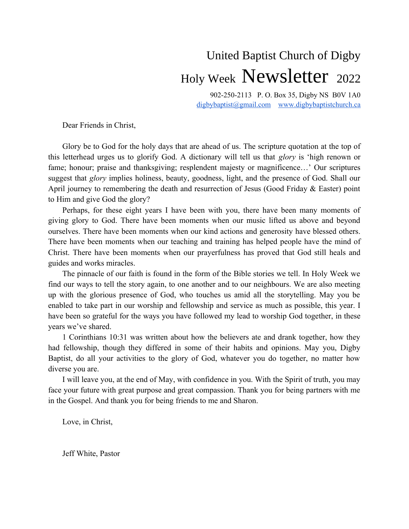# United Baptist Church of Digby Holy Week Newsletter <sup>2022</sup>

902-250-2113 P. O. Box 35, Digby NS B0V 1A0 digbybaptist@gmail.com www.digbybaptistchurch.ca

Dear Friends in Christ,

Glory be to God for the holy days that are ahead of us. The scripture quotation at the top of this letterhead urges us to glorify God. A dictionary will tell us that *glory* is 'high renown or fame; honour; praise and thanksgiving; resplendent majesty or magnificence…' Our scriptures suggest that *glory* implies holiness, beauty, goodness, light, and the presence of God. Shall our April journey to remembering the death and resurrection of Jesus (Good Friday & Easter) point to Him and give God the glory?

Perhaps, for these eight years I have been with you, there have been many moments of giving glory to God. There have been moments when our music lifted us above and beyond ourselves. There have been moments when our kind actions and generosity have blessed others. There have been moments when our teaching and training has helped people have the mind of Christ. There have been moments when our prayerfulness has proved that God still heals and guides and works miracles.

The pinnacle of our faith is found in the form of the Bible stories we tell. In Holy Week we find our ways to tell the story again, to one another and to our neighbours. We are also meeting up with the glorious presence of God, who touches us amid all the storytelling. May you be enabled to take part in our worship and fellowship and service as much as possible, this year. I have been so grateful for the ways you have followed my lead to worship God together, in these years we've shared.

1 Corinthians 10:31 was written about how the believers ate and drank together, how they had fellowship, though they differed in some of their habits and opinions. May you, Digby Baptist, do all your activities to the glory of God, whatever you do together, no matter how diverse you are.

I will leave you, at the end of May, with confidence in you. With the Spirit of truth, you may face your future with great purpose and great compassion. Thank you for being partners with me in the Gospel. And thank you for being friends to me and Sharon.

Love, in Christ,

Jeff White, Pastor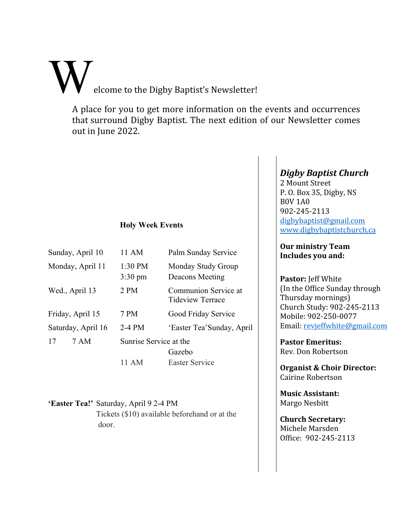elcome to the Digby Baptist's Newsletter!

A place for you to get more information on the events and occurrences that surround Digby Baptist. The next edition of our Newsletter comes out in June 2022.

## **Holy Week Events**

| Sunday, April 10   | 11 AM                        | Palm Sunday Service                             |  |
|--------------------|------------------------------|-------------------------------------------------|--|
| Monday, April 11   | 1:30 PM<br>$3:30 \text{ pm}$ | Monday Study Group<br>Deacons Meeting           |  |
| Wed., April 13     | 2 PM                         | Communion Service at<br><b>Tideview Terrace</b> |  |
| Friday, April 15   | 7 PM                         | Good Friday Service                             |  |
| Saturday, April 16 | $2-4$ PM                     | 'Easter Tea'Sunday, April                       |  |
| 7 AM<br>17         | Sunrise Service at the       |                                                 |  |
|                    |                              | Gazebo                                          |  |
|                    | 11 AM                        | Easter Service                                  |  |

#### **'Easter Tea!'** Saturday, April 9 2-4 PM

 Tickets (\$10) available beforehand or at the door.

## *Digby Baptist Church*

2 Mount Street P. O. Box 35, Digby, NS B0V 1A0 902-245-2113 [digbybaptist@gmail.com](mailto:digbybaptist@gmail.com) [www.digbybaptistchurch.ca](http://www.digbybaptistchurch.ca/)

## **Our ministry Team Includes you and:**

**Pastor:** Jeff White (In the Office Sunday through Thursday mornings) Church Study: 902-245-2113 Mobile: 902-250-0077 Email: [revjeffwhite@gmail.com](../../../../../admin/AppData/Roaming/Microsoft/Word/revjeffwhite@gmail.com)

**Pastor Emeritus:** Rev. Don Robertson

**Organist & Choir Director:** Cairine Robertson

**Music Assistant:** Margo Nesbitt

**Church Secretary:** Michele Marsden Office: 902-245-2113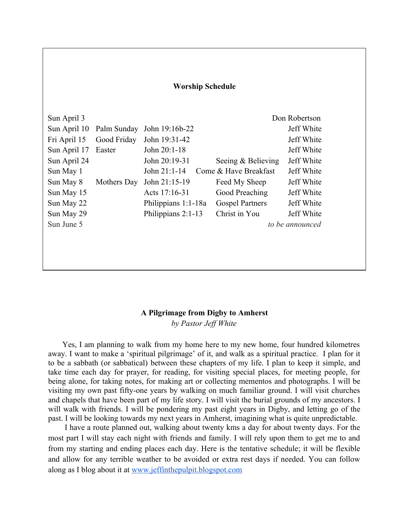| <b>Worship Schedule</b> |             |                     |                        |               |  |
|-------------------------|-------------|---------------------|------------------------|---------------|--|
| Sun April 3             |             |                     |                        | Don Robertson |  |
| Sun April 10            | Palm Sunday | John 19:16b-22      |                        | Jeff White    |  |
| Fri April 15            | Good Friday | John 19:31-42       |                        | Jeff White    |  |
| Sun April 17            | Easter      | John 20:1-18        |                        | Jeff White    |  |
| Sun April 24            |             | John 20:19-31       | Seeing & Believing     | Jeff White    |  |
| Sun May 1               |             | John 21:1-14        | Come & Have Breakfast  | Jeff White    |  |
| Sun May 8               | Mothers Day | John 21:15-19       | Feed My Sheep          | Jeff White    |  |
| Sun May 15              |             | Acts 17:16-31       | Good Preaching         | Jeff White    |  |
| Sun May 22              |             | Philippians 1:1-18a | <b>Gospel Partners</b> | Jeff White    |  |
| Sun May 29              |             | Philippians 2:1-13  | Christ in You          | Jeff White    |  |
| Sun June 5              |             |                     | to be announced        |               |  |
|                         |             |                     |                        |               |  |

### **A Pilgrimage from Digby to Amherst** *by Pastor Jeff White*

Yes, I am planning to walk from my home here to my new home, four hundred kilometres away. I want to make a 'spiritual pilgrimage' of it, and walk as a spiritual practice. I plan for it to be a sabbath (or sabbatical) between these chapters of my life. I plan to keep it simple, and take time each day for prayer, for reading, for visiting special places, for meeting people, for being alone, for taking notes, for making art or collecting mementos and photographs. I will be visiting my own past fifty-one years by walking on much familiar ground. I will visit churches and chapels that have been part of my life story. I will visit the burial grounds of my ancestors. I will walk with friends. I will be pondering my past eight years in Digby, and letting go of the past. I will be looking towards my next years in Amherst, imagining what is quite unpredictable.

 I have a route planned out, walking about twenty kms a day for about twenty days. For the most part I will stay each night with friends and family. I will rely upon them to get me to and from my starting and ending places each day. Here is the tentative schedule; it will be flexible and allow for any terrible weather to be avoided or extra rest days if needed. You can follow along as I blog about it at www.jeffinthepulpit.blogspot.com